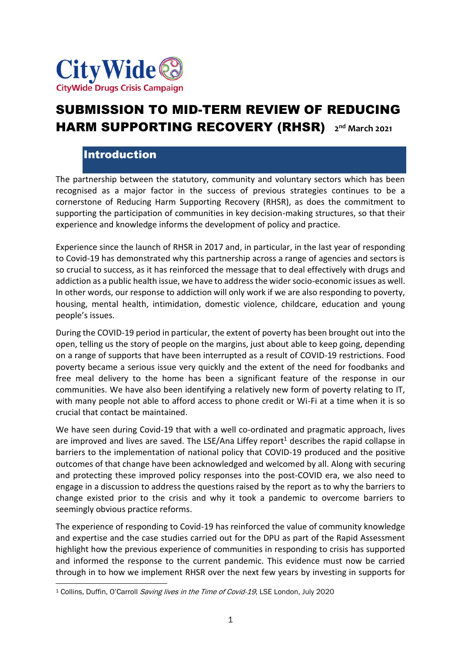

# SUBMISSION TO MID-TERM REVIEW OF REDUCING **HARM SUPPORTING RECOVERY (RHSR)** 2<sup>nd</sup> March 2021

### Introduction

The partnership between the statutory, community and voluntary sectors which has been recognised as a major factor in the success of previous strategies continues to be a cornerstone of Reducing Harm Supporting Recovery (RHSR), as does the commitment to supporting the participation of communities in key decision-making structures, so that their experience and knowledge informs the development of policy and practice.

Experience since the launch of RHSR in 2017 and, in particular, in the last year of responding to Covid-19 has demonstrated why this partnership across a range of agencies and sectors is so crucial to success, as it has reinforced the message that to deal effectively with drugs and addiction as a public health issue, we have to address the wider socio-economic issues as well. In other words, our response to addiction will only work if we are also responding to poverty, housing, mental health, intimidation, domestic violence, childcare, education and young people's issues.

During the COVID-19 period in particular, the extent of poverty has been brought out into the open, telling us the story of people on the margins, just about able to keep going, depending on a range of supports that have been interrupted as a result of COVID-19 restrictions. Food poverty became a serious issue very quickly and the extent of the need for foodbanks and free meal delivery to the home has been a significant feature of the response in our communities. We have also been identifying a relatively new form of poverty relating to IT, with many people not able to afford access to phone credit or Wi-Fi at a time when it is so crucial that contact be maintained.

We have seen during Covid-19 that with a well co-ordinated and pragmatic approach, lives are improved and lives are saved. The LSE/Ana Liffey report<sup>1</sup> describes the rapid collapse in barriers to the implementation of national policy that COVID-19 produced and the positive outcomes of that change have been acknowledged and welcomed by all. Along with securing and protecting these improved policy responses into the post-COVID era, we also need to engage in a discussion to address the questions raised by the report as to why the barriers to change existed prior to the crisis and why it took a pandemic to overcome barriers to seemingly obvious practice reforms.

The experience of responding to Covid-19 has reinforced the value of community knowledge and expertise and the case studies carried out for the DPU as part of the Rapid Assessment highlight how the previous experience of communities in responding to crisis has supported and informed the response to the current pandemic. This evidence must now be carried through in to how we implement RHSR over the next few years by investing in supports for

<sup>&</sup>lt;sup>1</sup> Collins, Duffin, O'Carroll Saving lives in the Time of Covid-19, LSE London, July 2020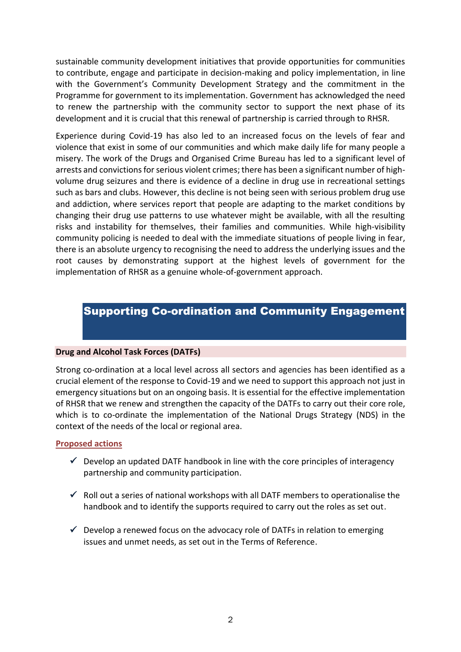sustainable community development initiatives that provide opportunities for communities to contribute, engage and participate in decision-making and policy implementation, in line with the Government's Community Development Strategy and the commitment in the Programme for government to its implementation. Government has acknowledged the need to renew the partnership with the community sector to support the next phase of its development and it is crucial that this renewal of partnership is carried through to RHSR.

Experience during Covid-19 has also led to an increased focus on the levels of fear and violence that exist in some of our communities and which make daily life for many people a misery. The work of the Drugs and Organised Crime Bureau has led to a significant level of arrests and convictions for serious violent crimes; there has been a significant number of highvolume drug seizures and there is evidence of a decline in drug use in recreational settings such as bars and clubs. However, this decline is not being seen with serious problem drug use and addiction, where services report that people are adapting to the market conditions by changing their drug use patterns to use whatever might be available, with all the resulting risks and instability for themselves, their families and communities. While high-visibility community policing is needed to deal with the immediate situations of people living in fear, there is an absolute urgency to recognising the need to address the underlying issues and the root causes by demonstrating support at the highest levels of government for the implementation of RHSR as a genuine whole-of-government approach.

### Supporting Co-ordination and Community Engagement

#### **Drug and Alcohol Task Forces (DATFs)**

Strong co-ordination at a local level across all sectors and agencies has been identified as a crucial element of the response to Covid-19 and we need to support this approach not just in emergency situations but on an ongoing basis. It is essential for the effective implementation of RHSR that we renew and strengthen the capacity of the DATFs to carry out their core role, which is to co-ordinate the implementation of the National Drugs Strategy (NDS) in the context of the needs of the local or regional area.

#### **Proposed actions**

- $\checkmark$  Develop an updated DATF handbook in line with the core principles of interagency partnership and community participation.
- $\checkmark$  Roll out a series of national workshops with all DATF members to operationalise the handbook and to identify the supports required to carry out the roles as set out.
- $\checkmark$  Develop a renewed focus on the advocacy role of DATFs in relation to emerging issues and unmet needs, as set out in the Terms of Reference.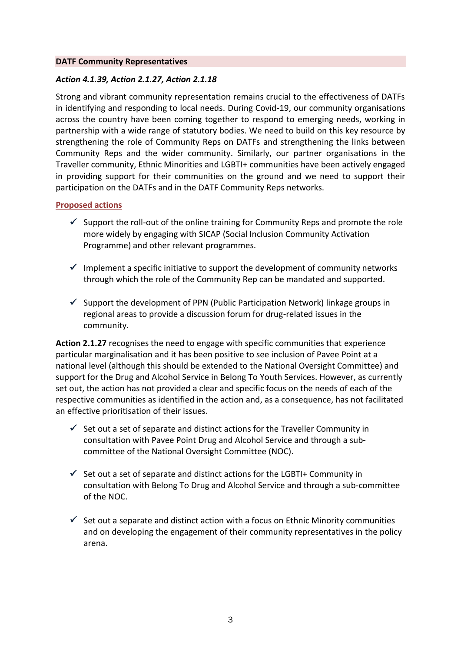#### **DATF Community Representatives**

#### *Action 4.1.39, Action 2.1.27, Action 2.1.18*

Strong and vibrant community representation remains crucial to the effectiveness of DATFs in identifying and responding to local needs. During Covid-19, our community organisations across the country have been coming together to respond to emerging needs, working in partnership with a wide range of statutory bodies. We need to build on this key resource by strengthening the role of Community Reps on DATFs and strengthening the links between Community Reps and the wider community. Similarly, our partner organisations in the Traveller community, Ethnic Minorities and LGBTI+ communities have been actively engaged in providing support for their communities on the ground and we need to support their participation on the DATFs and in the DATF Community Reps networks.

#### **Proposed actions**

- $\checkmark$  Support the roll-out of the online training for Community Reps and promote the role more widely by engaging with SICAP (Social Inclusion Community Activation Programme) and other relevant programmes.
- $\checkmark$  Implement a specific initiative to support the development of community networks through which the role of the Community Rep can be mandated and supported.
- $\checkmark$  Support the development of PPN (Public Participation Network) linkage groups in regional areas to provide a discussion forum for drug-related issues in the community.

**Action 2.1.27** recognises the need to engage with specific communities that experience particular marginalisation and it has been positive to see inclusion of Pavee Point at a national level (although this should be extended to the National Oversight Committee) and support for the Drug and Alcohol Service in Belong To Youth Services. However, as currently set out, the action has not provided a clear and specific focus on the needs of each of the respective communities as identified in the action and, as a consequence, has not facilitated an effective prioritisation of their issues.

- $\checkmark$  Set out a set of separate and distinct actions for the Traveller Community in consultation with Pavee Point Drug and Alcohol Service and through a subcommittee of the National Oversight Committee (NOC).
- $\checkmark$  Set out a set of separate and distinct actions for the LGBTI+ Community in consultation with Belong To Drug and Alcohol Service and through a sub-committee of the NOC.
- $\checkmark$  Set out a separate and distinct action with a focus on Ethnic Minority communities and on developing the engagement of their community representatives in the policy arena.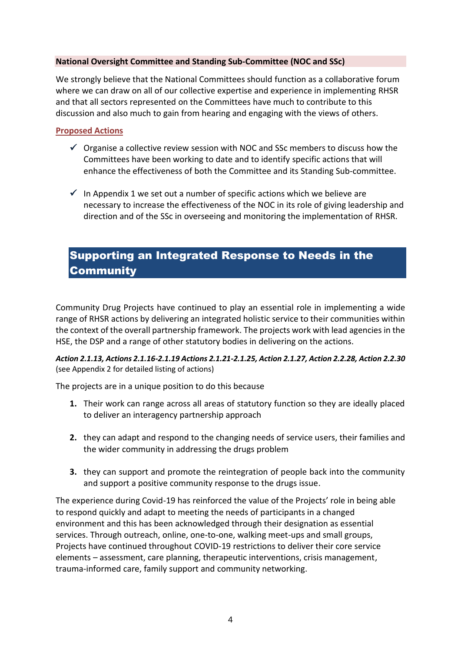#### **National Oversight Committee and Standing Sub-Committee (NOC and SSc)**

We strongly believe that the National Committees should function as a collaborative forum where we can draw on all of our collective expertise and experience in implementing RHSR and that all sectors represented on the Committees have much to contribute to this discussion and also much to gain from hearing and engaging with the views of others.

#### **Proposed Actions**

- $\checkmark$  Organise a collective review session with NOC and SSc members to discuss how the Committees have been working to date and to identify specific actions that will enhance the effectiveness of both the Committee and its Standing Sub-committee.
- $\checkmark$  In Appendix 1 we set out a number of specific actions which we believe are necessary to increase the effectiveness of the NOC in its role of giving leadership and direction and of the SSc in overseeing and monitoring the implementation of RHSR.

### Supporting an Integrated Response to Needs in the **Community**

Community Drug Projects have continued to play an essential role in implementing a wide range of RHSR actions by delivering an integrated holistic service to their communities within the context of the overall partnership framework. The projects work with lead agencies in the HSE, the DSP and a range of other statutory bodies in delivering on the actions.

*Action 2.1.13, Actions 2.1.16-2.1.19 Actions 2.1.21-2.1.25, Action 2.1.27, Action 2.2.28, Action 2.2.30*  (see Appendix 2 for detailed listing of actions)

The projects are in a unique position to do this because

- **1.** Their work can range across all areas of statutory function so they are ideally placed to deliver an interagency partnership approach
- **2.** they can adapt and respond to the changing needs of service users, their families and the wider community in addressing the drugs problem
- **3.** they can support and promote the reintegration of people back into the community and support a positive community response to the drugs issue.

The experience during Covid-19 has reinforced the value of the Projects' role in being able to respond quickly and adapt to meeting the needs of participants in a changed environment and this has been acknowledged through their designation as essential services. Through outreach, online, one-to-one, walking meet-ups and small groups, Projects have continued throughout COVID-19 restrictions to deliver their core service elements – assessment, care planning, therapeutic interventions, crisis management, trauma-informed care, family support and community networking.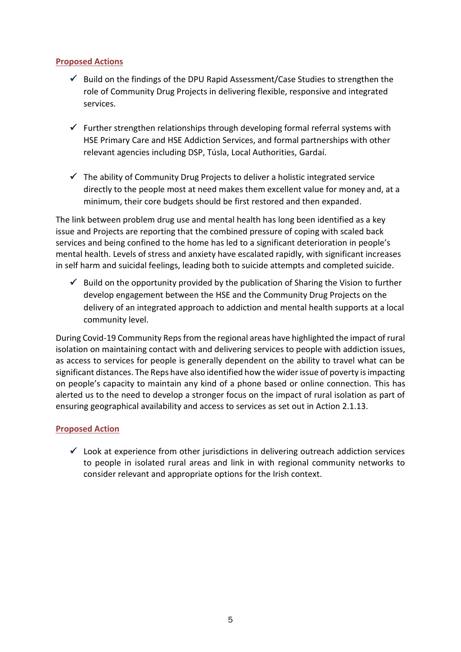#### **Proposed Actions**

- $\checkmark$  Build on the findings of the DPU Rapid Assessment/Case Studies to strengthen the role of Community Drug Projects in delivering flexible, responsive and integrated services.
- $\checkmark$  Further strengthen relationships through developing formal referral systems with HSE Primary Care and HSE Addiction Services, and formal partnerships with other relevant agencies including DSP, Túsla, Local Authorities, Gardaí.
- $\checkmark$  The ability of Community Drug Projects to deliver a holistic integrated service directly to the people most at need makes them excellent value for money and, at a minimum, their core budgets should be first restored and then expanded.

The link between problem drug use and mental health has long been identified as a key issue and Projects are reporting that the combined pressure of coping with scaled back services and being confined to the home has led to a significant deterioration in people's mental health. Levels of stress and anxiety have escalated rapidly, with significant increases in self harm and suicidal feelings, leading both to suicide attempts and completed suicide.

 $\checkmark$  Build on the opportunity provided by the publication of Sharing the Vision to further develop engagement between the HSE and the Community Drug Projects on the delivery of an integrated approach to addiction and mental health supports at a local community level.

During Covid-19 Community Reps from the regional areas have highlighted the impact of rural isolation on maintaining contact with and delivering services to people with addiction issues, as access to services for people is generally dependent on the ability to travel what can be significant distances. The Reps have also identified how the wider issue of poverty is impacting on people's capacity to maintain any kind of a phone based or online connection. This has alerted us to the need to develop a stronger focus on the impact of rural isolation as part of ensuring geographical availability and access to services as set out in Action 2.1.13.

#### **Proposed Action**

 $\checkmark$  Look at experience from other jurisdictions in delivering outreach addiction services to people in isolated rural areas and link in with regional community networks to consider relevant and appropriate options for the Irish context.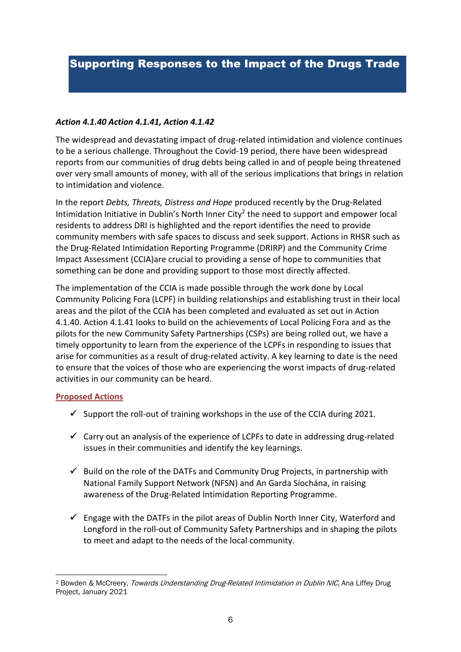# Supporting Responses to the Impact of the Drugs Trade

#### *Action 4.1.40 Action 4.1.41, Action 4.1.42*

The widespread and devastating impact of drug-related intimidation and violence continues to be a serious challenge. Throughout the Covid-19 period, there have been widespread reports from our communities of drug debts being called in and of people being threatened over very small amounts of money, with all of the serious implications that brings in relation to intimidation and violence.

In the report *Debts, Threats, Distress and Hope* produced recently by the Drug-Related Intimidation Initiative in Dublin's North Inner City<sup>2</sup> the need to support and empower local residents to address DRI is highlighted and the report identifies the need to provide community members with safe spaces to discuss and seek support. Actions in RHSR such as the Drug-Related Intimidation Reporting Programme (DRIRP) and the Community Crime Impact Assessment (CCIA)are crucial to providing a sense of hope to communities that something can be done and providing support to those most directly affected.

The implementation of the CCIA is made possible through the work done by Local Community Policing Fora (LCPF) in building relationships and establishing trust in their local areas and the pilot of the CCIA has been completed and evaluated as set out in Action 4.1.40. Action 4.1.41 looks to build on the achievements of Local Policing Fora and as the pilots for the new Community Safety Partnerships (CSPs) are being rolled out, we have a timely opportunity to learn from the experience of the LCPFs in responding to issues that arise for communities as a result of drug-related activity. A key learning to date is the need to ensure that the voices of those who are experiencing the worst impacts of drug-related activities in our community can be heard.

#### **Proposed Actions**

- $\checkmark$  Support the roll-out of training workshops in the use of the CCIA during 2021.
- $\checkmark$  Carry out an analysis of the experience of LCPFs to date in addressing drug-related issues in their communities and identify the key learnings.
- $\checkmark$  Build on the role of the DATFs and Community Drug Projects, in partnership with National Family Support Network (NFSN) and An Garda Síochána, in raising awareness of the Drug-Related Intimidation Reporting Programme.
- $\checkmark$  Engage with the DATFs in the pilot areas of Dublin North Inner City, Waterford and Longford in the roll-out of Community Safety Partnerships and in shaping the pilots to meet and adapt to the needs of the local community.

<sup>&</sup>lt;sup>2</sup> Bowden & McCreery, Towards Understanding Drug-Related Intimidation in Dublin NIC, Ana Liffey Drug Project, January 2021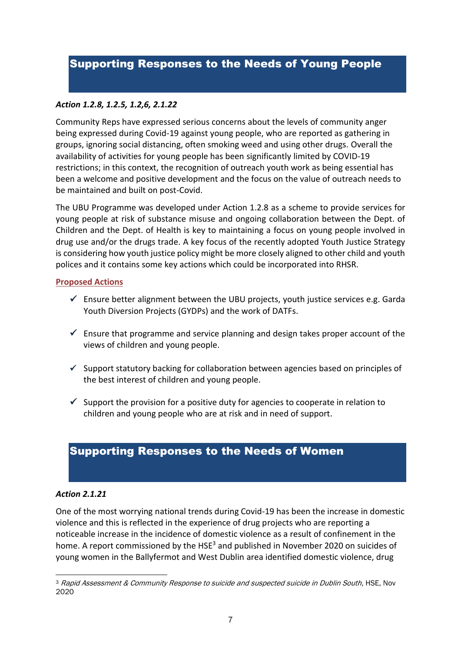### Supporting Responses to the Needs of Young People

#### *Action 1.2.8, 1.2.5, 1.2,6, 2.1.22*

Community Reps have expressed serious concerns about the levels of community anger being expressed during Covid-19 against young people, who are reported as gathering in groups, ignoring social distancing, often smoking weed and using other drugs. Overall the availability of activities for young people has been significantly limited by COVID-19 restrictions; in this context, the recognition of outreach youth work as being essential has been a welcome and positive development and the focus on the value of outreach needs to be maintained and built on post-Covid.

The UBU Programme was developed under Action 1.2.8 as a scheme to provide services for young people at risk of substance misuse and ongoing collaboration between the Dept. of Children and the Dept. of Health is key to maintaining a focus on young people involved in drug use and/or the drugs trade. A key focus of the recently adopted Youth Justice Strategy is considering how youth justice policy might be more closely aligned to other child and youth polices and it contains some key actions which could be incorporated into RHSR.

#### **Proposed Actions**

- $\checkmark$  Ensure better alignment between the UBU projects, youth justice services e.g. Garda Youth Diversion Projects (GYDPs) and the work of DATFs.
- $\checkmark$  Ensure that programme and service planning and design takes proper account of the views of children and young people.
- $\checkmark$  Support statutory backing for collaboration between agencies based on principles of the best interest of children and young people.
- $\checkmark$  Support the provision for a positive duty for agencies to cooperate in relation to children and young people who are at risk and in need of support.

### Supporting Responses to the Needs of Women

#### *Action 2.1.21*

One of the most worrying national trends during Covid-19 has been the increase in domestic violence and this is reflected in the experience of drug projects who are reporting a noticeable increase in the incidence of domestic violence as a result of confinement in the home. A report commissioned by the HSE<sup>3</sup> and published in November 2020 on suicides of young women in the Ballyfermot and West Dublin area identified domestic violence, drug

<sup>&</sup>lt;sup>3</sup> Rapid Assessment & Community Response to suicide and suspected suicide in Dublin South, HSE, Nov 2020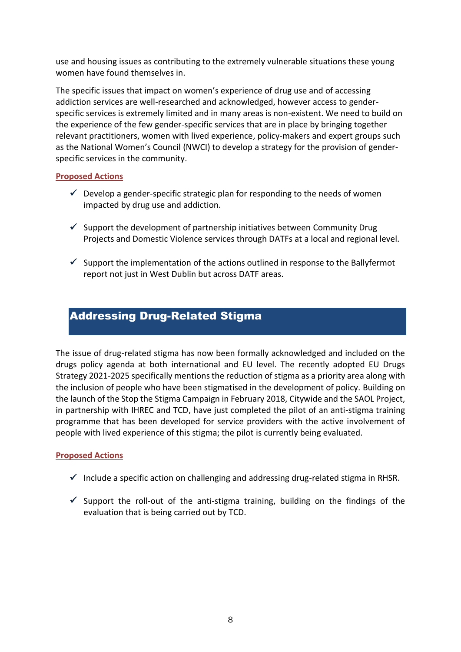use and housing issues as contributing to the extremely vulnerable situations these young women have found themselves in.

The specific issues that impact on women's experience of drug use and of accessing addiction services are well-researched and acknowledged, however access to genderspecific services is extremely limited and in many areas is non-existent. We need to build on the experience of the few gender-specific services that are in place by bringing together relevant practitioners, women with lived experience, policy-makers and expert groups such as the National Women's Council (NWCI) to develop a strategy for the provision of genderspecific services in the community.

#### **Proposed Actions**

- $\checkmark$  Develop a gender-specific strategic plan for responding to the needs of women impacted by drug use and addiction.
- $\checkmark$  Support the development of partnership initiatives between Community Drug Projects and Domestic Violence services through DATFs at a local and regional level.
- $\checkmark$  Support the implementation of the actions outlined in response to the Ballyfermot report not just in West Dublin but across DATF areas.

### Addressing Drug-Related Stigma

The issue of drug-related stigma has now been formally acknowledged and included on the drugs policy agenda at both international and EU level. The recently adopted EU Drugs Strategy 2021-2025 specifically mentions the reduction of stigma as a priority area along with the inclusion of people who have been stigmatised in the development of policy. Building on the launch of the Stop the Stigma Campaign in February 2018, Citywide and the SAOL Project, in partnership with IHREC and TCD, have just completed the pilot of an anti-stigma training programme that has been developed for service providers with the active involvement of people with lived experience of this stigma; the pilot is currently being evaluated.

#### **Proposed Actions**

- $\checkmark$  Include a specific action on challenging and addressing drug-related stigma in RHSR.
- $\checkmark$  Support the roll-out of the anti-stigma training, building on the findings of the evaluation that is being carried out by TCD.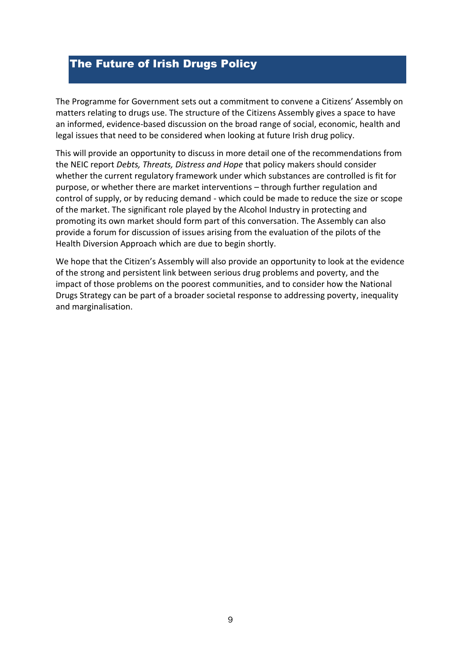## The Future of Irish Drugs Policy

The Programme for Government sets out a commitment to convene a Citizens' Assembly on matters relating to drugs use. The structure of the Citizens Assembly gives a space to have an informed, evidence-based discussion on the broad range of social, economic, health and legal issues that need to be considered when looking at future Irish drug policy.

This will provide an opportunity to discuss in more detail one of the recommendations from the NEIC report *Debts, Threats, Distress and Hope* that policy makers should consider whether the current regulatory framework under which substances are controlled is fit for purpose, or whether there are market interventions – through further regulation and control of supply, or by reducing demand - which could be made to reduce the size or scope of the market. The significant role played by the Alcohol Industry in protecting and promoting its own market should form part of this conversation. The Assembly can also provide a forum for discussion of issues arising from the evaluation of the pilots of the Health Diversion Approach which are due to begin shortly.

We hope that the Citizen's Assembly will also provide an opportunity to look at the evidence of the strong and persistent link between serious drug problems and poverty, and the impact of those problems on the poorest communities, and to consider how the National Drugs Strategy can be part of a broader societal response to addressing poverty, inequality and marginalisation.